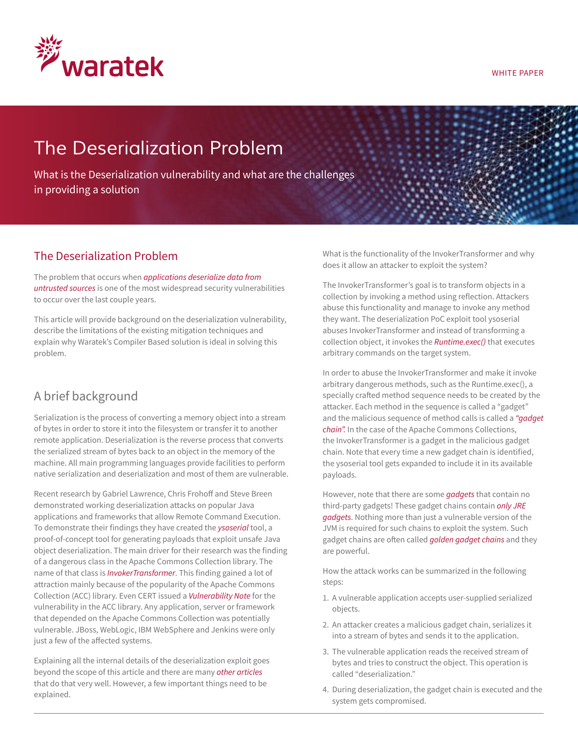

#### WHITE PAPER

# *The Deserialization Problem*

What is the Deserialization vulnerability and what are the challenges in providing a solution

### The Deserialization Problem

The problem that occurs when *applications [deserialize data from](https://cwe.mitre.org/data/definitions/502.html)  [untrusted sources](https://cwe.mitre.org/data/definitions/502.html)* is one of the most widespread security vulnerabilities to occur over the last couple years.

This article will provide background on the deserialization vulnerability, describe the limitations of the existing mitigation techniques and explain why Waratek's Compiler Based solution is ideal in solving this problem.

### A brief background

Serialization is the process of converting a memory object into a stream of bytes in order to store it into the filesystem or transfer it to another remote application. Deserialization is the reverse process that converts the serialized stream of bytes back to an object in the memory of the machine. All main programming languages provide facilities to perform native serialization and deserialization and most of them are vulnerable.

Recent research by Gabriel Lawrence, Chris Frohoff and Steve Breen demonstrated working deserialization attacks on popular Java applications and frameworks that allow Remote Command Execution. To demonstrate their findings they have created the *[ysoserial](http://https://github.com/frohoff/ysoserial)* tool, a proof-of-concept tool for generating payloads that exploit unsafe Java object deserialization. The main driver for their research was the finding of a dangerous class in the Apache Commons Collection library. The name of that class is *[InvokerTransformer](https://commons.apache.org/proper/commons-collections/javadocs/api-3.2.2/org/apache/commons/collections/functors/InvokerTransformer.html)*. This finding gained a lot of attraction mainly because of the popularity of the Apache Commons Collection (ACC) library. Even CERT issued a *[Vulnerability Note](https://www.kb.cert.org/vuls/id/576313)* for the vulnerability in the ACC library. Any application, server or framework that depended on the Apache Commons Collection was potentially vulnerable. JBoss, WebLogic, IBM WebSphere and Jenkins were only just a few of the affected systems.

Explaining all the internal details of the deserialization exploit goes beyond the scope of this article and there are many *[other articles](http://gursevkalra.blogspot.ie/2016/01/ysoserial-commonscollections1-exploit.html)*  that do that very well. However, a few important things need to be explained.

What is the functionality of the InvokerTransformer and why does it allow an attacker to exploit the system?

The InvokerTransformer's goal is to transform objects in a collection by invoking a method using reflection. Attackers abuse this functionality and manage to invoke any method they want. The deserialization PoC exploit tool ysoserial abuses InvokerTransformer and instead of transforming a collection object, it invokes the *[Runtime.exec\(\)](https://docs.oracle.com/javase/8/docs/api/java/lang/Runtime.html#exec-java.lang.String-)* that executes arbitrary commands on the target system.

In order to abuse the InvokerTransformer and make it invoke arbitrary dangerous methods, such as the Runtime.exec(), a specially crafted method sequence needs to be created by the attacker. Each method in the sequence is called a "gadget" and the malicious sequence of method calls is called a *["gadget](https://frohoff.github.io/appseccali-marshalling-pickles/)  [chain".](https://frohoff.github.io/appseccali-marshalling-pickles/)* In the case of the Apache Commons Collections, the InvokerTransformer is a gadget in the malicious gadget chain. Note that every time a new gadget chain is identified, the ysoserial tool gets expanded to include it in its available payloads.

However, note that there are some *[gadgets](https://github.com/frohoff/ysoserial/blob/master/src/main/java/ysoserial/payloads/Jdk7u21.java)* that contain no third-party gadgets! These gadget chains contain *[only JRE](http://www.slideshare.net/cschneider4711/surviving-the-java-deserialization-apocalypse-owasp-appseceu-2016)  [gadgets](http://www.slideshare.net/cschneider4711/surviving-the-java-deserialization-apocalypse-owasp-appseceu-2016)*. Nothing more than just a vulnerable version of the JVM is required for such chains to exploit the system. Such gadget chains are often called *[golden gadget chains](http://image.slidesharecdn.com/201606owaspappseceusurvivingthejavadeserializationapocalypse-160721174531/95/surviving-the-java-deserialization-apocalypse-owasp-appseceu-2016-33-638.jpg?cb=1469551505)* and they are powerful.

How the attack works can be summarized in the following steps:

- 1. A vulnerable application accepts user-supplied serialized objects.
- 2. An attacker creates a malicious gadget chain, serializes it into a stream of bytes and sends it to the application.
- 3. The vulnerable application reads the received stream of bytes and tries to construct the object. This operation is called "deserialization."
- 4. During deserialization, the gadget chain is executed and the system gets compromised.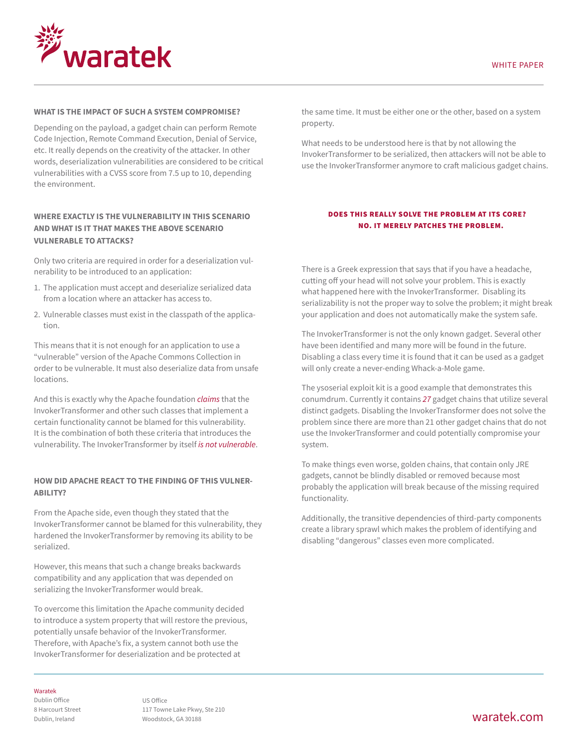

#### **What is the impact of such a system compromise?**

Depending on the payload, a gadget chain can perform Remote Code Injection, Remote Command Execution, Denial of Service, etc. It really depends on the creativity of the attacker. In other words, deserialization vulnerabilities are considered to be critical vulnerabilities with a CVSS score from 7.5 up to 10, depending the environment.

#### **Where exactly is the vulnerability in this scenario and what is it that makes the above scenario vulnerable to attacks?**

Only two criteria are required in order for a deserialization vulnerability to be introduced to an application:

- 1. The application must accept and deserialize serialized data from a location where an attacker has access to.
- 2. Vulnerable classes must exist in the classpath of the application.

This means that it is not enough for an application to use a "vulnerable" version of the Apache Commons Collection in order to be vulnerable. It must also deserialize data from unsafe locations.

And this is exactly why the Apache foundation *[claims](https://blogs.apache.org/foundation/entry/apache_commons_statement_to_widespread)* that the InvokerTransformer and other such classes that implement a certain functionality cannot be blamed for this vulnerability. It is the combination of both these criteria that introduces the vulnerability. The InvokerTransformer by itself *[is not vulnerable](https://twitter.com/gebl/status/662754611304996866)*.

#### **How did Apache react to the finding of this vulnerability?**

From the Apache side, even though they stated that the InvokerTransformer cannot be blamed for this vulnerability, they hardened the InvokerTransformer by removing its ability to be serialized.

However, this means that such a change breaks backwards compatibility and any application that was depended on serializing the InvokerTransformer would break.

To overcome this limitation the Apache community decided to introduce a system property that will restore the previous, potentially unsafe behavior of the InvokerTransformer. Therefore, with Apache's fix, a system cannot both use the InvokerTransformer for deserialization and be protected at

the same time. It must be either one or the other, based on a system property.

What needs to be understood here is that by not allowing the InvokerTransformer to be serialized, then attackers will not be able to use the InvokerTransformer anymore to craft malicious gadget chains.

#### Does this really solve the problem at its core? No. It merely patches the problem.

There is a Greek expression that says that if you have a headache, cutting off your head will not solve your problem. This is exactly what happened here with the InvokerTransformer. Disabling its serializability is not the proper way to solve the problem; it might break your application and does not automatically make the system safe.

The InvokerTransformer is not the only known gadget. Several other have been identified and many more will be found in the future. Disabling a class every time it is found that it can be used as a gadget will only create a never-ending Whack-a-Mole game.

The ysoserial exploit kit is a good example that demonstrates this conumdrum. Currently it contains *[27](https://github.com/frohoff/ysoserial/tree/master/src/main/java/ysoserial/payloads)* gadget chains that utilize several distinct gadgets. Disabling the InvokerTransformer does not solve the problem since there are more than 21 other gadget chains that do not use the InvokerTransformer and could potentially compromise your system.

To make things even worse, golden chains, that contain only JRE gadgets, cannot be blindly disabled or removed because most probably the application will break because of the missing required functionality.

Additionally, the transitive dependencies of third-party components create a library sprawl which makes the problem of identifying and disabling "dangerous" classes even more complicated.

#### Waratek

Dublin Office 8 Harcourt Street Dublin, Ireland

US Office 117 Towne Lake Pkwy, Ste 210 Woodstock, GA 30188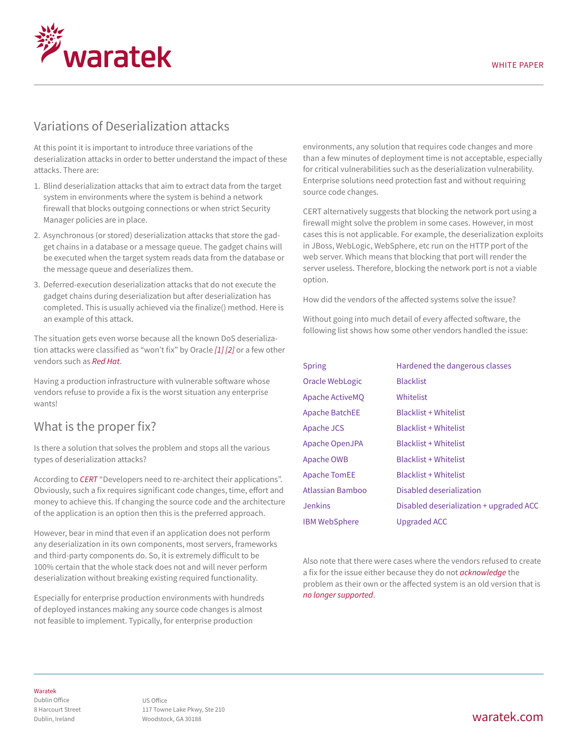

### Variations of Deserialization attacks

At this point it is important to introduce three variations of the deserialization attacks in order to better understand the impact of these attacks. There are:

- 1. Blind deserialization attacks that aim to extract data from the target system in environments where the system is behind a network firewall that blocks outgoing connections or when strict Security Manager policies are in place.
- 2. Asynchronous (or stored) deserialization attacks that store the gadget chains in a database or a message queue. The gadget chains will be executed when the target system reads data from the database or the message queue and deserializes them.
- 3. Deferred-execution deserialization attacks that do not execute the gadget chains during deserialization but after deserialization has completed. This is usually achieved via the finalize() method. Here is an example of this attack.

The situation gets even worse because all the known DoS deserialization attacks were classified as "won't fix" by Oracle *[\[1\]](https://github.com/topolik/ois-dos) [\[2\]](https://twitter.com/woutercoekaerts/status/663774695381078016)* or a few other vendors such as *[Red Hat](http://seclists.org/fulldisclosure/2016/Nov/143)*.

Having a production infrastructure with vulnerable software whose vendors refuse to provide a fix is the worst situation any enterprise wants!

### What is the proper fix?

Is there a solution that solves the problem and stops all the various types of deserialization attacks?

According to *[CERT](https://www.kb.cert.org/vuls/id/576313)* "Developers need to re-architect their applications". Obviously, such a fix requires significant code changes, time, effort and money to achieve this. If changing the source code and the architecture of the application is an option then this is the preferred approach.

However, bear in mind that even if an application does not perform any deserialization in its own components, most servers, frameworks and third-party components do. So, it is extremely difficult to be 100% certain that the whole stack does not and will never perform deserialization without breaking existing required functionality.

Especially for enterprise production environments with hundreds of deployed instances making any source code changes is almost not feasible to implement. Typically, for enterprise production

environments, any solution that requires code changes and more than a few minutes of deployment time is not acceptable, especially for critical vulnerabilities such as the deserialization vulnerability. Enterprise solutions need protection fast and without requiring source code changes.

CERT alternatively suggests that blocking the network port using a firewall might solve the problem in some cases. However, in most cases this is not applicable. For example, the deserialization exploits in JBoss, WebLogic, WebSphere, etc run on the HTTP port of the web server. Which means that blocking that port will render the server useless. Therefore, blocking the network port is not a viable option.

How did the vendors of the affected systems solve the issue?

Without going into much detail of every affected software, the following list shows how some other vendors handled the issue:

| <b>Spring</b>         | Hardened the dangerous classes          |
|-----------------------|-----------------------------------------|
| Oracle WebLogic       | <b>Blacklist</b>                        |
| Apache ActiveMO       | Whitelist                               |
| <b>Apache BatchEE</b> | <b>Blacklist + Whitelist</b>            |
| Apache JCS            | <b>Blacklist + Whitelist</b>            |
| Apache OpenJPA        | <b>Blacklist + Whitelist</b>            |
| Apache OWB            | <b>Blacklist + Whitelist</b>            |
| <b>Apache TomEE</b>   | <b>Blacklist + Whitelist</b>            |
| Atlassian Bamboo      | Disabled deserialization                |
| <b>Jenkins</b>        | Disabled deserialization + upgraded ACC |
| <b>IBM WebSphere</b>  | <b>Upgraded ACC</b>                     |

Also note that there were cases where the vendors refused to create a fix for the issue either because they do not *[acknowledge](http://zerothoughts.tumblr.com/post/137831000514/spring-framework-deserialization-rce)* the problem as their own or the affected system is an old version that is *[no longer supported](http://seclists.org/fulldisclosure/2016/Nov/143)*.

#### Waratek

Dublin Office 8 Harcourt Street Dublin, Ireland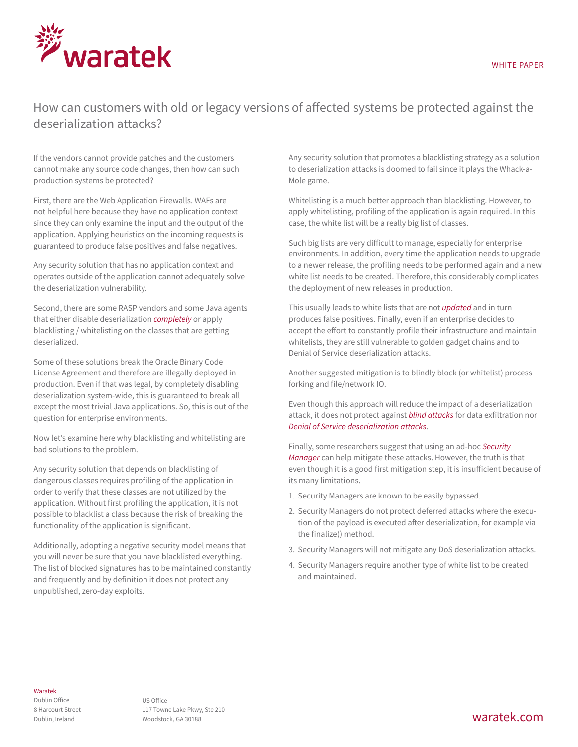

## How can customers with old or legacy versions of affected systems be protected against the deserialization attacks?

If the vendors cannot provide patches and the customers cannot make any source code changes, then how can such production systems be protected?

First, there are the Web Application Firewalls. WAFs are not helpful here because they have no application context since they can only examine the input and the output of the application. Applying heuristics on the incoming requests is guaranteed to produce false positives and false negatives.

Any security solution that has no application context and operates outside of the application cannot adequately solve the deserialization vulnerability.

Second, there are some RASP vendors and some Java agents that either disable deserialization *[completely](https://github.com/wsargent/paranoid-java-serialization)* or apply blacklisting / whitelisting on the classes that are getting deserialized.

Some of these solutions break the Oracle Binary Code License Agreement and therefore are illegally deployed in production. Even if that was legal, by completely disabling deserialization system-wide, this is guaranteed to break all except the most trivial Java applications. So, this is out of the question for enterprise environments.

Now let's examine here why blacklisting and whitelisting are bad solutions to the problem.

Any security solution that depends on blacklisting of dangerous classes requires profiling of the application in order to verify that these classes are not utilized by the application. Without first profiling the application, it is not possible to blacklist a class because the risk of breaking the functionality of the application is significant.

Additionally, adopting a negative security model means that you will never be sure that you have blacklisted everything. The list of blocked signatures has to be maintained constantly and frequently and by definition it does not protect any unpublished, zero-day exploits.

Any security solution that promotes a blacklisting strategy as a solution to deserialization attacks is doomed to fail since it plays the Whack-a-Mole game.

Whitelisting is a much better approach than blacklisting. However, to apply whitelisting, profiling of the application is again required. In this case, the white list will be a really big list of classes.

Such big lists are very difficult to manage, especially for enterprise environments. In addition, every time the application needs to upgrade to a newer release, the profiling needs to be performed again and a new white list needs to be created. Therefore, this considerably complicates the deployment of new releases in production.

This usually leads to white lists that are not *[updated](http://camel.apache.org/security-advisories.data/CVE-2015-5344.txt.asc)* and in turn produces false positives. Finally, even if an enterprise decides to accept the effort to constantly profile their infrastructure and maintain whitelists, they are still vulnerable to golden gadget chains and to Denial of Service deserialization attacks.

Another suggested mitigation is to blindly block (or whitelist) process forking and file/network IO.

Even though this approach will reduce the impact of a deserialization attack, it does not protect against *[blind attacks](https://deadcode.me/blog/2016/09/02/Blind-Java-Deserialization-Commons-Gadgets.html)* for data exfiltration nor *[Denial of Service deserialization attacks](https://gist.github.com/coekie/a27cc406fc9f3dc7a70d)*.

Finally, some researchers suggest that using an ad-hoc *[Security](https://docs.oracle.com/javase/tutorial/essential/environment/security.html)  [Manager](https://docs.oracle.com/javase/tutorial/essential/environment/security.html)* can help mitigate these attacks. However, the truth is that even though it is a good first mitigation step, it is insufficient because of its many limitations.

- 1. Security Managers are known to be easily bypassed.
- 2. Security Managers do not protect deferred attacks where the execution of the payload is executed after deserialization, for example via the finalize() method.
- 3. Security Managers will not mitigate any DoS deserialization attacks.
- 4. Security Managers require another type of white list to be created and maintained.

#### Waratek

Dublin Office 8 Harcourt Street Dublin, Ireland